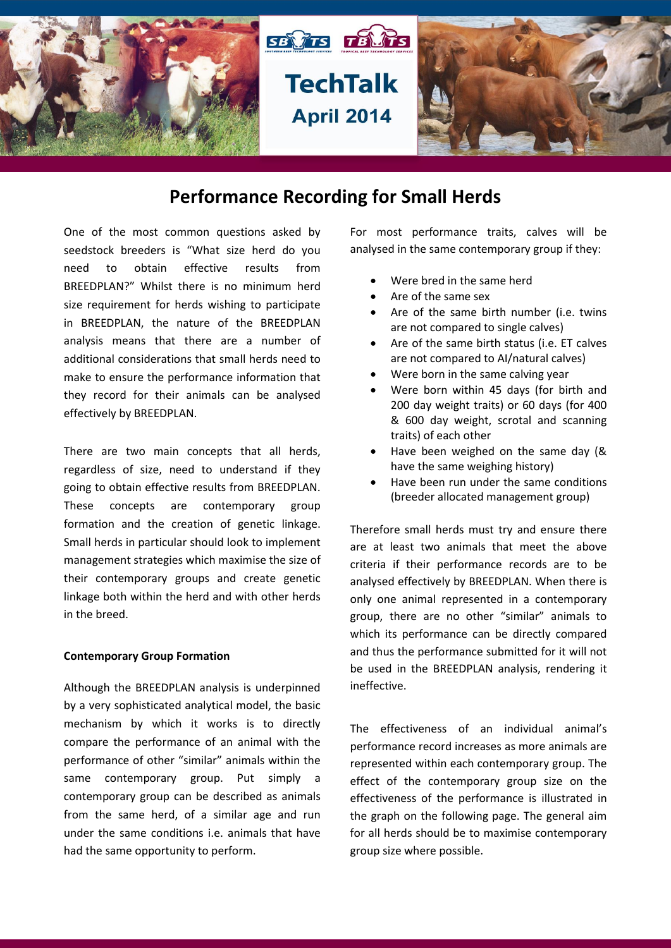

# **Performance Recording for Small Herds**

One of the most common questions asked by seedstock breeders is "What size herd do you need to obtain effective results from BREEDPLAN?" Whilst there is no minimum herd size requirement for herds wishing to participate in BREEDPLAN, the nature of the BREEDPLAN analysis means that there are a number of additional considerations that small herds need to make to ensure the performance information that they record for their animals can be analysed effectively by BREEDPLAN.

There are two main concepts that all herds, regardless of size, need to understand if they going to obtain effective results from BREEDPLAN. These concepts are contemporary group formation and the creation of genetic linkage. Small herds in particular should look to implement management strategies which maximise the size of their contemporary groups and create genetic linkage both within the herd and with other herds in the breed.

#### **Contemporary Group Formation**

Although the BREEDPLAN analysis is underpinned by a very sophisticated analytical model, the basic mechanism by which it works is to directly compare the performance of an animal with the performance of other "similar" animals within the same contemporary group. Put simply a contemporary group can be described as animals from the same herd, of a similar age and run under the same conditions i.e. animals that have had the same opportunity to perform.

For most performance traits, calves will be analysed in the same contemporary group if they:

- Were bred in the same herd
- Are of the same sex
- Are of the same birth number (i.e. twins are not compared to single calves)
- Are of the same birth status (i.e. ET calves are not compared to AI/natural calves)
- Were born in the same calving year
- Were born within 45 days (for birth and 200 day weight traits) or 60 days (for 400 & 600 day weight, scrotal and scanning traits) of each other
- Have been weighed on the same day (& have the same weighing history)
- Have been run under the same conditions (breeder allocated management group)

Therefore small herds must try and ensure there are at least two animals that meet the above criteria if their performance records are to be analysed effectively by BREEDPLAN. When there is only one animal represented in a contemporary group, there are no other "similar" animals to which its performance can be directly compared and thus the performance submitted for it will not be used in the BREEDPLAN analysis, rendering it ineffective.

The effectiveness of an individual animal's performance record increases as more animals are represented within each contemporary group. The effect of the contemporary group size on the effectiveness of the performance is illustrated in the graph on the following page. The general aim for all herds should be to maximise contemporary group size where possible.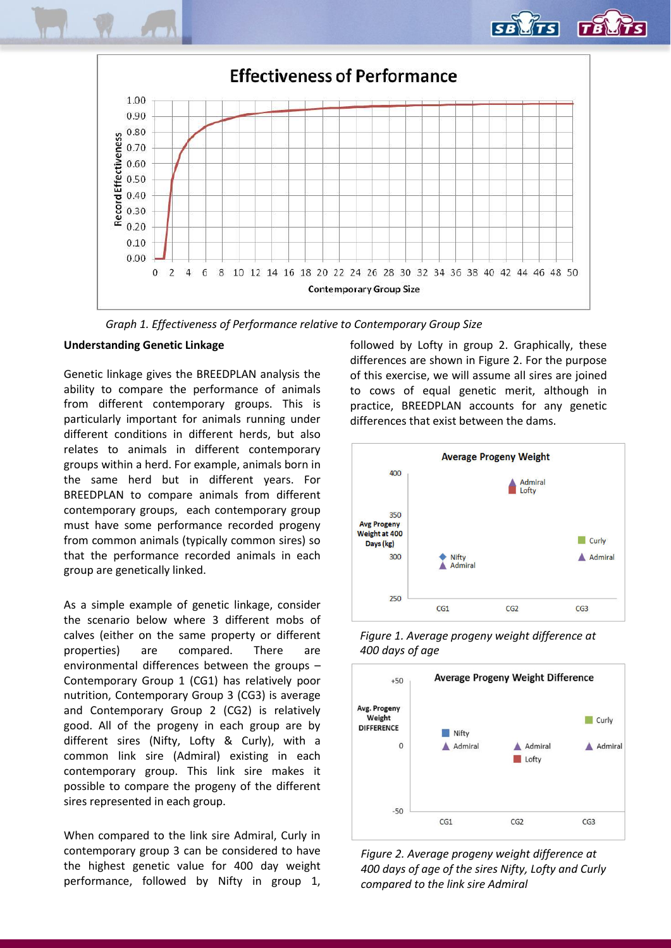

*Graph 1. Effectiveness of Performance relative to Contemporary Group Size*

## **Understanding Genetic Linkage**

Genetic linkage gives the BREEDPLAN analysis the ability to compare the performance of animals from different contemporary groups. This is particularly important for animals running under different conditions in different herds, but also relates to animals in different contemporary groups within a herd. For example, animals born in the same herd but in different years. For BREEDPLAN to compare animals from different contemporary groups, each contemporary group must have some performance recorded progeny from common animals (typically common sires) so that the performance recorded animals in each group are genetically linked.

As a simple example of genetic linkage, consider the scenario below where 3 different mobs of calves (either on the same property or different properties) are compared. There are environmental differences between the groups – Contemporary Group 1 (CG1) has relatively poor nutrition, Contemporary Group 3 (CG3) is average and Contemporary Group 2 (CG2) is relatively good. All of the progeny in each group are by different sires (Nifty, Lofty & Curly), with a common link sire (Admiral) existing in each contemporary group. This link sire makes it possible to compare the progeny of the different sires represented in each group.

When compared to the link sire Admiral, Curly in contemporary group 3 can be considered to have the highest genetic value for 400 day weight performance, followed by Nifty in group 1, followed by Lofty in group 2. Graphically, these differences are shown in Figure 2. For the purpose of this exercise, we will assume all sires are joined to cows of equal genetic merit, although in practice, BREEDPLAN accounts for any genetic differences that exist between the dams.